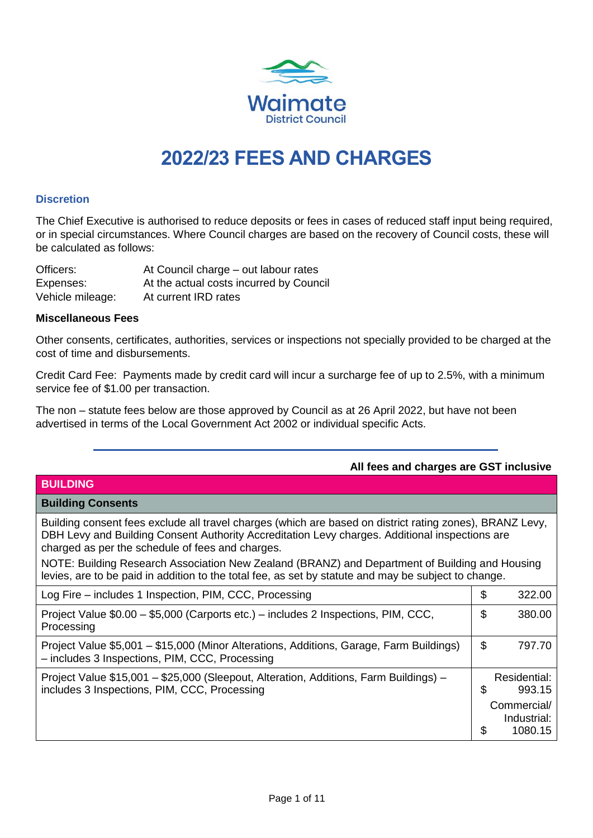

# **2022/23 FEES AND CHARGES**

## **Discretion**

The Chief Executive is authorised to reduce deposits or fees in cases of reduced staff input being required, or in special circumstances. Where Council charges are based on the recovery of Council costs, these will be calculated as follows:

Officers: At Council charge – out labour rates Expenses: At the actual costs incurred by Council Vehicle mileage: At current IRD rates

#### **Miscellaneous Fees**

Other consents, certificates, authorities, services or inspections not specially provided to be charged at the cost of time and disbursements.

Credit Card Fee: Payments made by credit card will incur a surcharge fee of up to 2.5%, with a minimum service fee of \$1.00 per transaction.

The non – statute fees below are those approved by Council as at 26 April 2022, but have not been advertised in terms of the Local Government Act 2002 or individual specific Acts.

| <b>BUILDING</b>                                                                                                                                                                                                                                                                                                                                                                                                                                                          |               |
|--------------------------------------------------------------------------------------------------------------------------------------------------------------------------------------------------------------------------------------------------------------------------------------------------------------------------------------------------------------------------------------------------------------------------------------------------------------------------|---------------|
| <b>Building Consents</b>                                                                                                                                                                                                                                                                                                                                                                                                                                                 |               |
| Building consent fees exclude all travel charges (which are based on district rating zones), BRANZ Levy,<br>DBH Levy and Building Consent Authority Accreditation Levy charges. Additional inspections are<br>charged as per the schedule of fees and charges.<br>NOTE: Building Research Association New Zealand (BRANZ) and Department of Building and Housing<br>levies, are to be paid in addition to the total fee, as set by statute and may be subject to change. |               |
| Log Fire – includes 1 Inspection, PIM, CCC, Processing                                                                                                                                                                                                                                                                                                                                                                                                                   | \$<br>322.00  |
| Project Value \$0.00 - \$5,000 (Carports etc.) - includes 2 Inspections, PIM, CCC,<br>Processing                                                                                                                                                                                                                                                                                                                                                                         | \$<br>380.00  |
| Project Value \$5,001 - \$15,000 (Minor Alterations, Additions, Garage, Farm Buildings)<br>- includes 3 Inspections, PIM, CCC, Processing                                                                                                                                                                                                                                                                                                                                | \$<br>797.70  |
| Project Value \$15,001 - \$25,000 (Sleepout, Alteration, Additions, Farm Buildings) -                                                                                                                                                                                                                                                                                                                                                                                    | Residential:  |
| includes 3 Inspections, PIM, CCC, Processing                                                                                                                                                                                                                                                                                                                                                                                                                             | \$<br>993.15  |
|                                                                                                                                                                                                                                                                                                                                                                                                                                                                          | Commercial/   |
|                                                                                                                                                                                                                                                                                                                                                                                                                                                                          | Industrial:   |
|                                                                                                                                                                                                                                                                                                                                                                                                                                                                          | \$<br>1080.15 |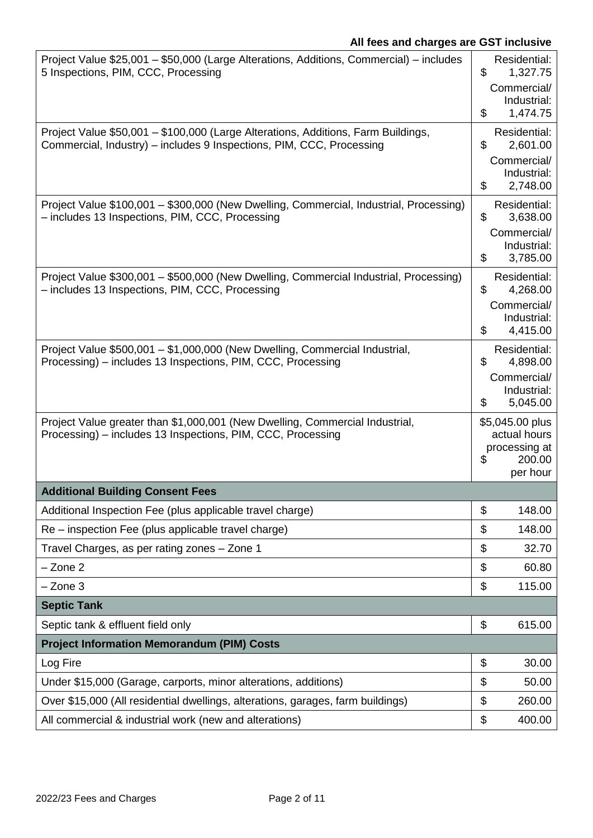| Project Value \$25,001 - \$50,000 (Large Alterations, Additions, Commercial) - includes<br>5 Inspections, PIM, CCC, Processing                            | Residential:<br>\$<br>1,327.75<br>Commercial/<br>Industrial:<br>\$<br>1,474.75 |
|-----------------------------------------------------------------------------------------------------------------------------------------------------------|--------------------------------------------------------------------------------|
| Project Value \$50,001 - \$100,000 (Large Alterations, Additions, Farm Buildings,<br>Commercial, Industry) - includes 9 Inspections, PIM, CCC, Processing | Residential:<br>\$<br>2,601.00<br>Commercial/<br>Industrial:<br>2,748.00<br>\$ |
| Project Value \$100,001 - \$300,000 (New Dwelling, Commercial, Industrial, Processing)<br>- includes 13 Inspections, PIM, CCC, Processing                 | Residential:<br>\$<br>3,638.00<br>Commercial/<br>Industrial:<br>\$<br>3,785.00 |
| Project Value \$300,001 - \$500,000 (New Dwelling, Commercial Industrial, Processing)<br>- includes 13 Inspections, PIM, CCC, Processing                  | Residential:<br>\$<br>4,268.00<br>Commercial/<br>Industrial:<br>\$<br>4,415.00 |
| Project Value \$500,001 - \$1,000,000 (New Dwelling, Commercial Industrial,<br>Processing) – includes 13 Inspections, PIM, CCC, Processing                | Residential:<br>\$<br>4,898.00<br>Commercial/<br>Industrial:<br>5,045.00<br>\$ |
| Project Value greater than \$1,000,001 (New Dwelling, Commercial Industrial,<br>Processing) – includes 13 Inspections, PIM, CCC, Processing               | \$5,045.00 plus<br>actual hours<br>processing at<br>\$<br>200.00<br>per hour   |
| <b>Additional Building Consent Fees</b>                                                                                                                   |                                                                                |
| Additional Inspection Fee (plus applicable travel charge)                                                                                                 | \$<br>148.00                                                                   |
| Re – inspection Fee (plus applicable travel charge)                                                                                                       | \$<br>148.00                                                                   |
| Travel Charges, as per rating zones - Zone 1                                                                                                              | \$<br>32.70                                                                    |
| $-$ Zone $2$                                                                                                                                              | \$<br>60.80                                                                    |
| $-$ Zone 3                                                                                                                                                | \$<br>115.00                                                                   |
| <b>Septic Tank</b>                                                                                                                                        |                                                                                |
| Septic tank & effluent field only                                                                                                                         | \$<br>615.00                                                                   |
| <b>Project Information Memorandum (PIM) Costs</b>                                                                                                         |                                                                                |
| Log Fire                                                                                                                                                  | \$<br>30.00                                                                    |
| Under \$15,000 (Garage, carports, minor alterations, additions)                                                                                           | \$<br>50.00                                                                    |
| Over \$15,000 (All residential dwellings, alterations, garages, farm buildings)                                                                           | \$<br>260.00                                                                   |
| All commercial & industrial work (new and alterations)                                                                                                    | \$<br>400.00                                                                   |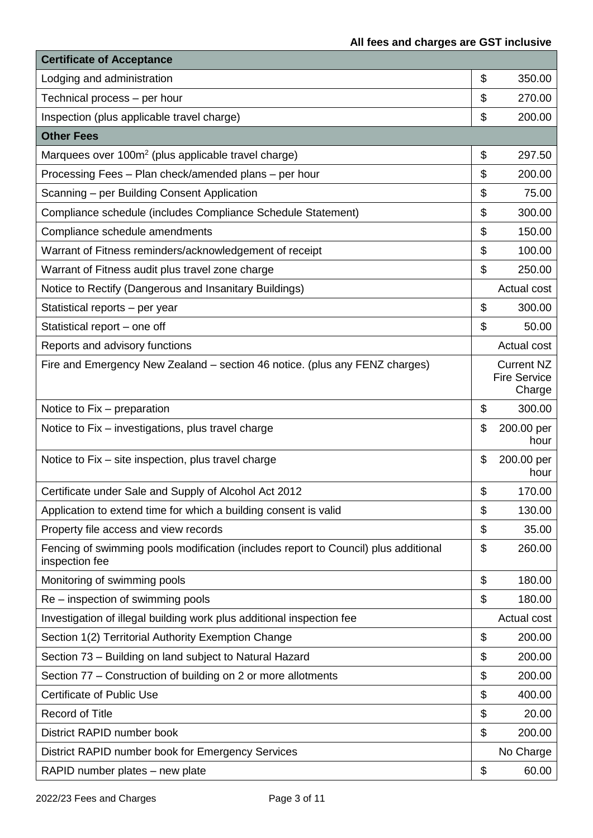| <b>Certificate of Acceptance</b>                                                                      |                                                    |
|-------------------------------------------------------------------------------------------------------|----------------------------------------------------|
| Lodging and administration                                                                            | \$<br>350.00                                       |
| Technical process - per hour                                                                          | \$<br>270.00                                       |
| Inspection (plus applicable travel charge)                                                            | \$<br>200.00                                       |
| <b>Other Fees</b>                                                                                     |                                                    |
| Marquees over 100m <sup>2</sup> (plus applicable travel charge)                                       | \$<br>297.50                                       |
| Processing Fees - Plan check/amended plans - per hour                                                 | \$<br>200.00                                       |
| Scanning - per Building Consent Application                                                           | \$<br>75.00                                        |
| Compliance schedule (includes Compliance Schedule Statement)                                          | \$<br>300.00                                       |
| Compliance schedule amendments                                                                        | \$<br>150.00                                       |
| Warrant of Fitness reminders/acknowledgement of receipt                                               | \$<br>100.00                                       |
| Warrant of Fitness audit plus travel zone charge                                                      | \$<br>250.00                                       |
| Notice to Rectify (Dangerous and Insanitary Buildings)                                                | <b>Actual cost</b>                                 |
| Statistical reports - per year                                                                        | \$<br>300.00                                       |
| Statistical report - one off                                                                          | \$<br>50.00                                        |
| Reports and advisory functions                                                                        | Actual cost                                        |
| Fire and Emergency New Zealand – section 46 notice. (plus any FENZ charges)                           | <b>Current NZ</b><br><b>Fire Service</b><br>Charge |
| Notice to Fix – preparation                                                                           | \$<br>300.00                                       |
| Notice to Fix - investigations, plus travel charge                                                    | \$<br>200.00 per<br>hour                           |
| Notice to Fix – site inspection, plus travel charge                                                   | \$<br>200.00 per<br>hour                           |
| Certificate under Sale and Supply of Alcohol Act 2012                                                 | \$<br>170.00                                       |
| Application to extend time for which a building consent is valid                                      | \$<br>130.00                                       |
| Property file access and view records                                                                 | \$<br>35.00                                        |
| Fencing of swimming pools modification (includes report to Council) plus additional<br>inspection fee | \$<br>260.00                                       |
| Monitoring of swimming pools                                                                          | \$<br>180.00                                       |
| Re – inspection of swimming pools                                                                     | \$<br>180.00                                       |
| Investigation of illegal building work plus additional inspection fee                                 | <b>Actual cost</b>                                 |
| Section 1(2) Territorial Authority Exemption Change                                                   | \$<br>200.00                                       |
| Section 73 - Building on land subject to Natural Hazard                                               | \$<br>200.00                                       |
| Section 77 – Construction of building on 2 or more allotments                                         | \$<br>200.00                                       |
| <b>Certificate of Public Use</b>                                                                      | \$<br>400.00                                       |
| Record of Title                                                                                       | \$<br>20.00                                        |
| District RAPID number book                                                                            | \$<br>200.00                                       |
| District RAPID number book for Emergency Services                                                     | No Charge                                          |
| RAPID number plates - new plate                                                                       | \$<br>60.00                                        |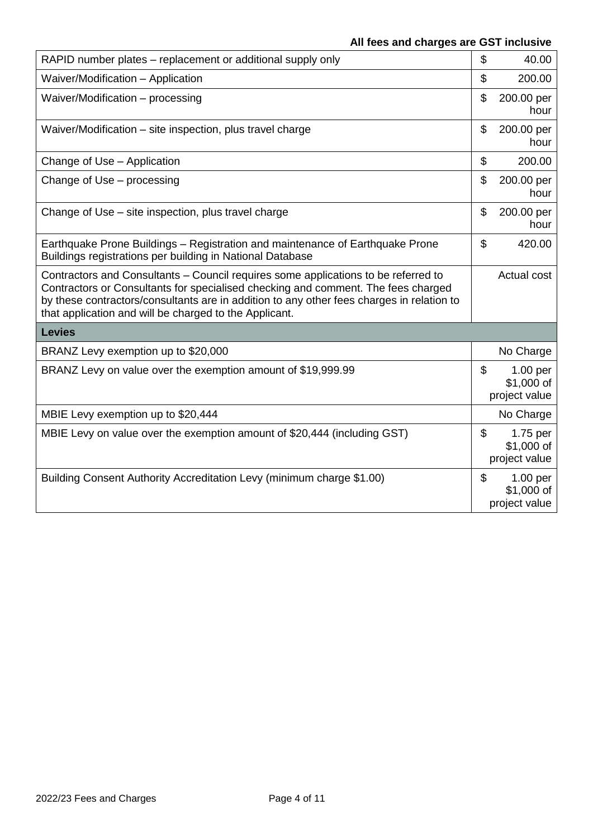| RAPID number plates – replacement or additional supply only                                                                                                                                                                                                                                                                    | \$<br>40.00                                              |
|--------------------------------------------------------------------------------------------------------------------------------------------------------------------------------------------------------------------------------------------------------------------------------------------------------------------------------|----------------------------------------------------------|
| Waiver/Modification - Application                                                                                                                                                                                                                                                                                              | \$<br>200.00                                             |
| Waiver/Modification - processing                                                                                                                                                                                                                                                                                               | \$<br>200.00 per<br>hour                                 |
| Waiver/Modification – site inspection, plus travel charge                                                                                                                                                                                                                                                                      | \$<br>200.00 per<br>hour                                 |
| Change of Use - Application                                                                                                                                                                                                                                                                                                    | \$<br>200.00                                             |
| Change of Use - processing                                                                                                                                                                                                                                                                                                     | \$<br>200.00 per<br>hour                                 |
| Change of Use – site inspection, plus travel charge                                                                                                                                                                                                                                                                            | \$<br>200.00 per<br>hour                                 |
| Earthquake Prone Buildings – Registration and maintenance of Earthquake Prone<br>Buildings registrations per building in National Database                                                                                                                                                                                     | \$<br>420.00                                             |
| Contractors and Consultants – Council requires some applications to be referred to<br>Contractors or Consultants for specialised checking and comment. The fees charged<br>by these contractors/consultants are in addition to any other fees charges in relation to<br>that application and will be charged to the Applicant. | Actual cost                                              |
| <b>Levies</b>                                                                                                                                                                                                                                                                                                                  |                                                          |
| BRANZ Levy exemption up to \$20,000                                                                                                                                                                                                                                                                                            | No Charge                                                |
| BRANZ Levy on value over the exemption amount of \$19,999.99                                                                                                                                                                                                                                                                   | \$<br>1.00 <sub>per</sub><br>\$1,000 of<br>project value |
| MBIE Levy exemption up to \$20,444                                                                                                                                                                                                                                                                                             | No Charge                                                |
| MBIE Levy on value over the exemption amount of \$20,444 (including GST)                                                                                                                                                                                                                                                       | \$<br>1.75 per<br>$$1,000$ of<br>project value           |
| Building Consent Authority Accreditation Levy (minimum charge \$1.00)                                                                                                                                                                                                                                                          | \$<br>1.00 <sub>per</sub><br>\$1,000 of<br>project value |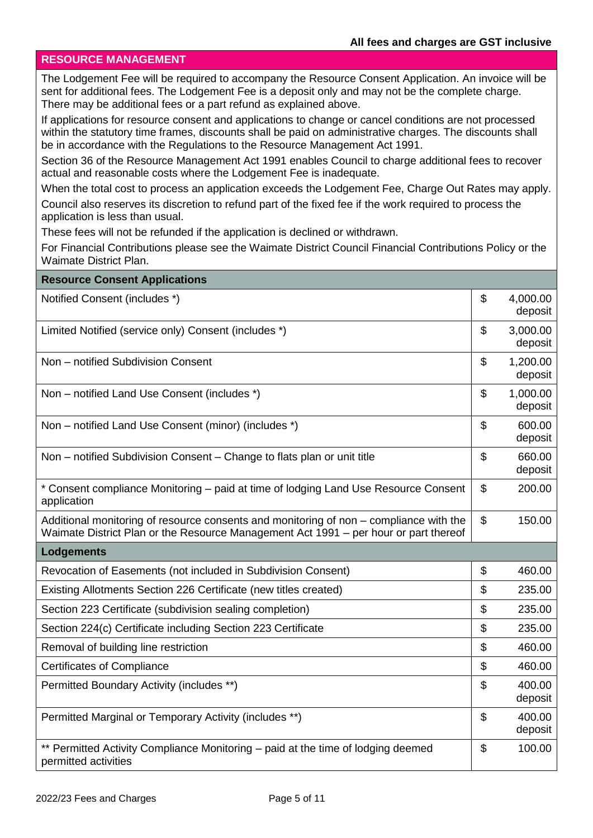#### **RESOURCE MANAGEMENT**

The Lodgement Fee will be required to accompany the Resource Consent Application. An invoice will be sent for additional fees. The Lodgement Fee is a deposit only and may not be the complete charge. There may be additional fees or a part refund as explained above.

If applications for resource consent and applications to change or cancel conditions are not processed within the statutory time frames, discounts shall be paid on administrative charges. The discounts shall be in accordance with the Regulations to the Resource Management Act 1991.

Section 36 of the Resource Management Act 1991 enables Council to charge additional fees to recover actual and reasonable costs where the Lodgement Fee is inadequate.

When the total cost to process an application exceeds the Lodgement Fee, Charge Out Rates may apply. Council also reserves its discretion to refund part of the fixed fee if the work required to process the

application is less than usual.

These fees will not be refunded if the application is declined or withdrawn.

For Financial Contributions please see the Waimate District Council Financial Contributions Policy or the Waimate District Plan.

| <b>Resource Consent Applications</b>                                                                                                                                           |                           |
|--------------------------------------------------------------------------------------------------------------------------------------------------------------------------------|---------------------------|
| Notified Consent (includes *)                                                                                                                                                  | \$<br>4,000.00<br>deposit |
| Limited Notified (service only) Consent (includes *)                                                                                                                           | \$<br>3,000.00<br>deposit |
| Non - notified Subdivision Consent                                                                                                                                             | \$<br>1,200.00<br>deposit |
| Non – notified Land Use Consent (includes *)                                                                                                                                   | \$<br>1,000.00<br>deposit |
| Non – notified Land Use Consent (minor) (includes *)                                                                                                                           | \$<br>600.00<br>deposit   |
| Non – notified Subdivision Consent – Change to flats plan or unit title                                                                                                        | \$<br>660.00<br>deposit   |
| * Consent compliance Monitoring - paid at time of lodging Land Use Resource Consent<br>application                                                                             | \$<br>200.00              |
| Additional monitoring of resource consents and monitoring of non – compliance with the<br>Waimate District Plan or the Resource Management Act 1991 - per hour or part thereof | \$<br>150.00              |
| Lodgements                                                                                                                                                                     |                           |
| Revocation of Easements (not included in Subdivision Consent)                                                                                                                  | \$<br>460.00              |
| Existing Allotments Section 226 Certificate (new titles created)                                                                                                               | \$<br>235.00              |
| Section 223 Certificate (subdivision sealing completion)                                                                                                                       | \$<br>235.00              |
| Section 224(c) Certificate including Section 223 Certificate                                                                                                                   | \$<br>235.00              |
| Removal of building line restriction                                                                                                                                           | \$<br>460.00              |
| <b>Certificates of Compliance</b>                                                                                                                                              | \$<br>460.00              |
| Permitted Boundary Activity (includes **)                                                                                                                                      | \$<br>400.00<br>deposit   |
| Permitted Marginal or Temporary Activity (includes **)                                                                                                                         | \$<br>400.00<br>deposit   |
| ** Permitted Activity Compliance Monitoring - paid at the time of lodging deemed<br>permitted activities                                                                       | \$<br>100.00              |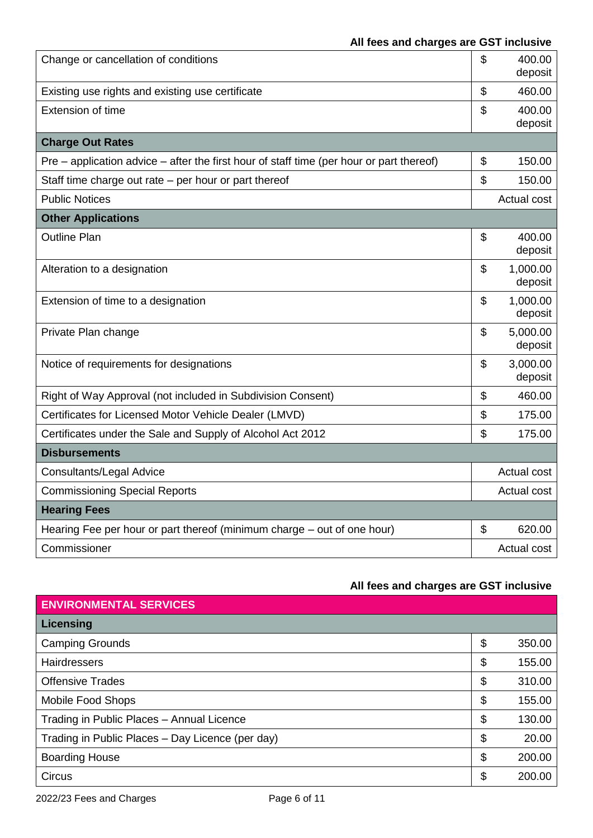| Change or cancellation of conditions                                                       | \$             | 400.00<br>deposit   |
|--------------------------------------------------------------------------------------------|----------------|---------------------|
| Existing use rights and existing use certificate                                           | \$             | 460.00              |
| <b>Extension of time</b>                                                                   | \$             | 400.00<br>deposit   |
| <b>Charge Out Rates</b>                                                                    |                |                     |
| $Pre$ – application advice – after the first hour of staff time (per hour or part thereof) | \$             | 150.00              |
| Staff time charge out rate $-$ per hour or part thereof                                    | \$             | 150.00              |
| <b>Public Notices</b>                                                                      |                | Actual cost         |
| <b>Other Applications</b>                                                                  |                |                     |
| <b>Outline Plan</b>                                                                        | \$             | 400.00<br>deposit   |
| Alteration to a designation                                                                | \$             | 1,000.00<br>deposit |
| Extension of time to a designation                                                         | \$             | 1,000.00<br>deposit |
| Private Plan change                                                                        | \$             | 5,000.00<br>deposit |
| Notice of requirements for designations                                                    | \$             | 3,000.00<br>deposit |
| Right of Way Approval (not included in Subdivision Consent)                                | \$             | 460.00              |
| Certificates for Licensed Motor Vehicle Dealer (LMVD)                                      | \$             | 175.00              |
| Certificates under the Sale and Supply of Alcohol Act 2012                                 | \$             | 175.00              |
| <b>Disbursements</b>                                                                       |                |                     |
| <b>Consultants/Legal Advice</b>                                                            |                | Actual cost         |
| <b>Commissioning Special Reports</b>                                                       |                | Actual cost         |
| <b>Hearing Fees</b>                                                                        |                |                     |
| Hearing Fee per hour or part thereof (minimum charge – out of one hour)                    | $\mathfrak{L}$ | 620.00              |
| Commissioner                                                                               |                | Actual cost         |

| <b>ENVIRONMENTAL SERVICES</b>                    |              |
|--------------------------------------------------|--------------|
| Licensing                                        |              |
| <b>Camping Grounds</b>                           | \$<br>350.00 |
| <b>Hairdressers</b>                              | \$<br>155.00 |
| <b>Offensive Trades</b>                          | \$<br>310.00 |
| Mobile Food Shops                                | \$<br>155.00 |
| Trading in Public Places - Annual Licence        | \$<br>130.00 |
| Trading in Public Places - Day Licence (per day) | \$<br>20.00  |
| <b>Boarding House</b>                            | \$<br>200.00 |
| <b>Circus</b>                                    | \$<br>200.00 |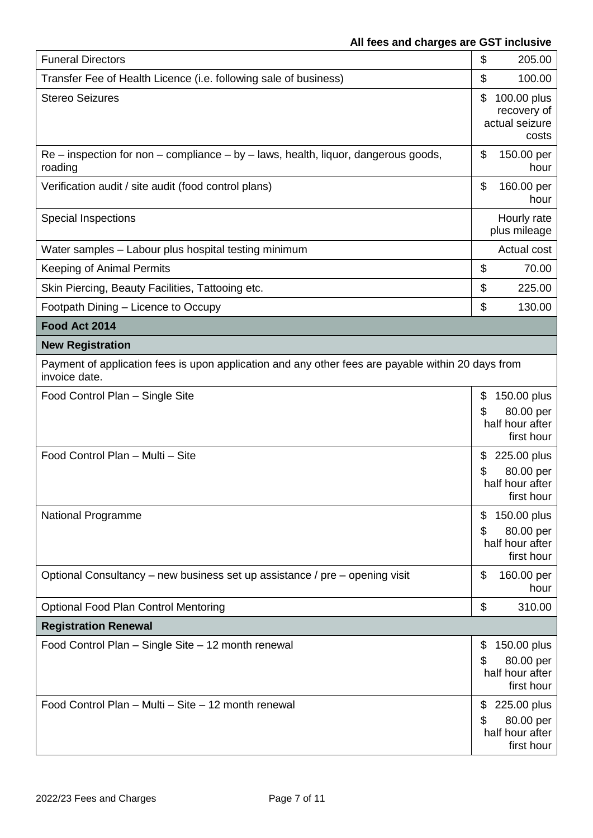| <b>Funeral Directors</b>                                                                                            | \$<br>205.00                                                          |
|---------------------------------------------------------------------------------------------------------------------|-----------------------------------------------------------------------|
| Transfer Fee of Health Licence (i.e. following sale of business)                                                    | \$<br>100.00                                                          |
| <b>Stereo Seizures</b>                                                                                              | \$<br>100.00 plus<br>recovery of<br>actual seizure<br>costs           |
| $Re$ – inspection for non – compliance – by – laws, health, liquor, dangerous goods,<br>roading                     | \$<br>150.00 per<br>hour                                              |
| Verification audit / site audit (food control plans)                                                                | \$<br>160.00 per<br>hour                                              |
| <b>Special Inspections</b>                                                                                          | Hourly rate<br>plus mileage                                           |
| Water samples - Labour plus hospital testing minimum                                                                | Actual cost                                                           |
| <b>Keeping of Animal Permits</b>                                                                                    | \$<br>70.00                                                           |
| Skin Piercing, Beauty Facilities, Tattooing etc.                                                                    | \$<br>225.00                                                          |
| Footpath Dining - Licence to Occupy                                                                                 | \$<br>130.00                                                          |
| Food Act 2014                                                                                                       |                                                                       |
| <b>New Registration</b>                                                                                             |                                                                       |
| Payment of application fees is upon application and any other fees are payable within 20 days from<br>invoice date. |                                                                       |
| Food Control Plan - Single Site                                                                                     | \$<br>150.00 plus<br>80.00 per<br>\$<br>half hour after<br>first hour |
| Food Control Plan - Multi - Site                                                                                    | 225.00 plus<br>\$<br>80.00 per<br>\$<br>half hour after<br>first hour |
| National Programme                                                                                                  | 150.00 plus<br>\$<br>80.00 per<br>\$<br>half hour after<br>first hour |
| Optional Consultancy – new business set up assistance / pre – opening visit                                         | \$<br>160.00 per<br>hour                                              |
| <b>Optional Food Plan Control Mentoring</b>                                                                         | \$<br>310.00                                                          |
| <b>Registration Renewal</b>                                                                                         |                                                                       |
| Food Control Plan - Single Site - 12 month renewal                                                                  | 150.00 plus<br>\$<br>80.00 per<br>\$<br>half hour after<br>first hour |
| Food Control Plan - Multi - Site - 12 month renewal                                                                 | \$<br>225.00 plus<br>\$<br>80.00 per<br>half hour after<br>first hour |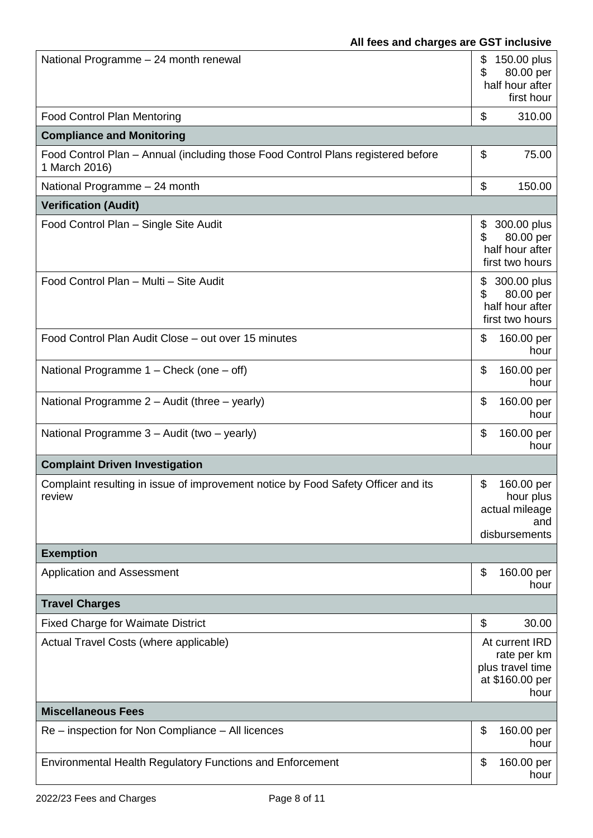| National Programme - 24 month renewal                                                             | \$<br>150.00 plus<br>80.00 per<br>\$<br>half hour after<br>first hour        |
|---------------------------------------------------------------------------------------------------|------------------------------------------------------------------------------|
| <b>Food Control Plan Mentoring</b>                                                                | \$<br>310.00                                                                 |
| <b>Compliance and Monitoring</b>                                                                  |                                                                              |
| Food Control Plan - Annual (including those Food Control Plans registered before<br>1 March 2016) | \$<br>75.00                                                                  |
| National Programme - 24 month                                                                     | \$<br>150.00                                                                 |
| <b>Verification (Audit)</b>                                                                       |                                                                              |
| Food Control Plan - Single Site Audit                                                             | 300.00 plus<br>\$<br>\$<br>80.00 per<br>half hour after<br>first two hours   |
| Food Control Plan - Multi - Site Audit                                                            | \$<br>300.00 plus<br>80.00 per<br>\$<br>half hour after<br>first two hours   |
| Food Control Plan Audit Close - out over 15 minutes                                               | \$<br>160.00 per<br>hour                                                     |
| National Programme $1$ – Check (one – off)                                                        | \$<br>160.00 per<br>hour                                                     |
| National Programme 2 - Audit (three - yearly)                                                     | \$<br>160.00 per<br>hour                                                     |
| National Programme 3 - Audit (two - yearly)                                                       | \$<br>160.00 per<br>hour                                                     |
| <b>Complaint Driven Investigation</b>                                                             |                                                                              |
| Complaint resulting in issue of improvement notice by Food Safety Officer and its<br>review       | \$<br>160.00 per<br>hour plus<br>actual mileage<br>and<br>disbursements      |
| <b>Exemption</b>                                                                                  |                                                                              |
| <b>Application and Assessment</b>                                                                 | \$<br>160.00 per<br>hour                                                     |
| <b>Travel Charges</b>                                                                             |                                                                              |
| <b>Fixed Charge for Waimate District</b>                                                          | \$<br>30.00                                                                  |
| Actual Travel Costs (where applicable)                                                            | At current IRD<br>rate per km<br>plus travel time<br>at \$160.00 per<br>hour |
| <b>Miscellaneous Fees</b>                                                                         |                                                                              |
| Re – inspection for Non Compliance – All licences                                                 | \$<br>160.00 per<br>hour                                                     |
| <b>Environmental Health Regulatory Functions and Enforcement</b>                                  | \$<br>160.00 per<br>hour                                                     |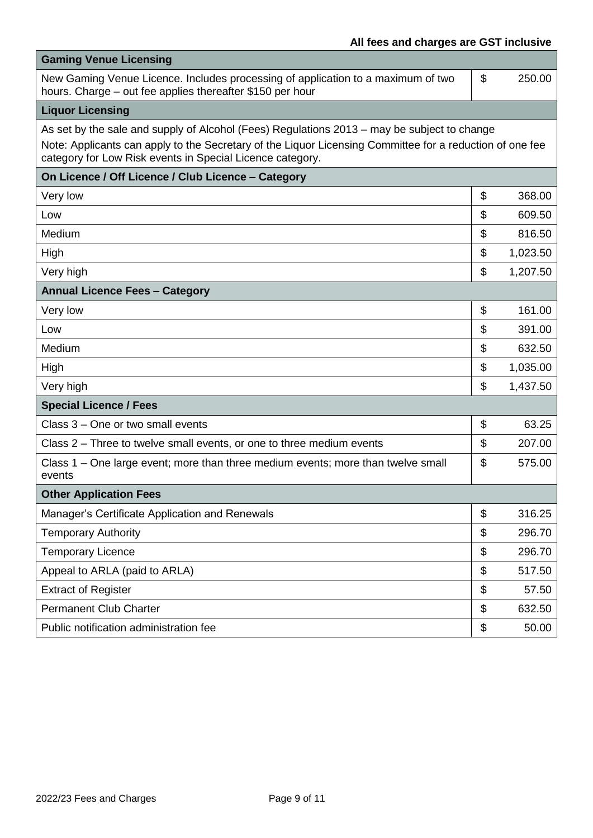| <b>Gaming Venue Licensing</b>                                                                                                                                                                                                                                        |                |
|----------------------------------------------------------------------------------------------------------------------------------------------------------------------------------------------------------------------------------------------------------------------|----------------|
| New Gaming Venue Licence. Includes processing of application to a maximum of two<br>hours. Charge - out fee applies thereafter \$150 per hour                                                                                                                        | \$<br>250.00   |
| <b>Liquor Licensing</b>                                                                                                                                                                                                                                              |                |
| As set by the sale and supply of Alcohol (Fees) Regulations 2013 - may be subject to change<br>Note: Applicants can apply to the Secretary of the Liquor Licensing Committee for a reduction of one fee<br>category for Low Risk events in Special Licence category. |                |
| On Licence / Off Licence / Club Licence - Category                                                                                                                                                                                                                   |                |
| Very low                                                                                                                                                                                                                                                             | \$<br>368.00   |
| Low                                                                                                                                                                                                                                                                  | \$<br>609.50   |
| Medium                                                                                                                                                                                                                                                               | \$<br>816.50   |
| High                                                                                                                                                                                                                                                                 | \$<br>1,023.50 |
| Very high                                                                                                                                                                                                                                                            | \$<br>1,207.50 |
| <b>Annual Licence Fees - Category</b>                                                                                                                                                                                                                                |                |
| Very low                                                                                                                                                                                                                                                             | \$<br>161.00   |
| Low                                                                                                                                                                                                                                                                  | \$<br>391.00   |
| Medium                                                                                                                                                                                                                                                               | \$<br>632.50   |
| High                                                                                                                                                                                                                                                                 | \$<br>1,035.00 |
| Very high                                                                                                                                                                                                                                                            | \$<br>1,437.50 |
| <b>Special Licence / Fees</b>                                                                                                                                                                                                                                        |                |
| Class 3 – One or two small events                                                                                                                                                                                                                                    | \$<br>63.25    |
| Class 2 – Three to twelve small events, or one to three medium events                                                                                                                                                                                                | \$<br>207.00   |
| Class 1 – One large event; more than three medium events; more than twelve small<br>events                                                                                                                                                                           | \$<br>575.00   |
| <b>Other Application Fees</b>                                                                                                                                                                                                                                        |                |
| Manager's Certificate Application and Renewals                                                                                                                                                                                                                       | \$<br>316.25   |
| <b>Temporary Authority</b>                                                                                                                                                                                                                                           | \$<br>296.70   |
| <b>Temporary Licence</b>                                                                                                                                                                                                                                             | \$<br>296.70   |
| Appeal to ARLA (paid to ARLA)                                                                                                                                                                                                                                        | \$<br>517.50   |
| <b>Extract of Register</b>                                                                                                                                                                                                                                           | \$<br>57.50    |
| <b>Permanent Club Charter</b>                                                                                                                                                                                                                                        | \$<br>632.50   |
| Public notification administration fee                                                                                                                                                                                                                               | \$<br>50.00    |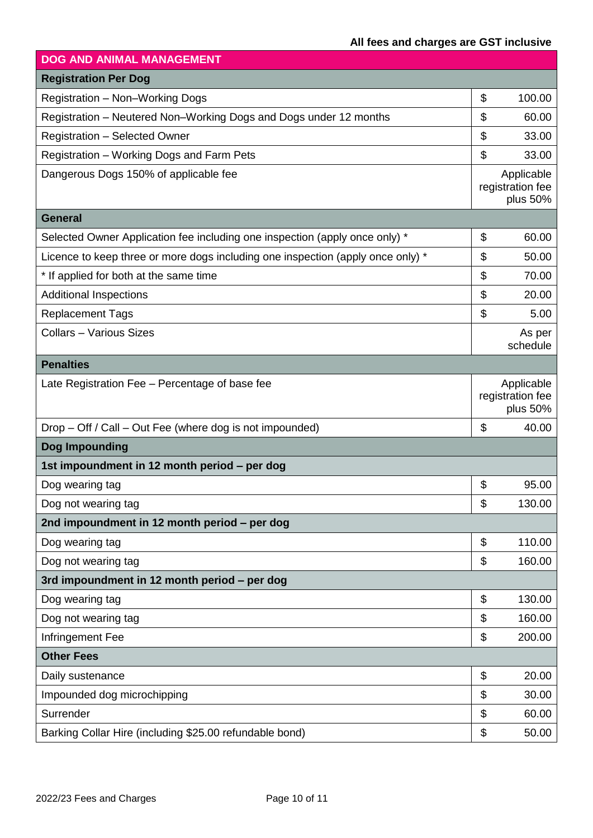| <b>DOG AND ANIMAL MANAGEMENT</b>                                                |                                            |
|---------------------------------------------------------------------------------|--------------------------------------------|
| <b>Registration Per Dog</b>                                                     |                                            |
| Registration - Non-Working Dogs                                                 | \$<br>100.00                               |
| Registration - Neutered Non-Working Dogs and Dogs under 12 months               | \$<br>60.00                                |
| <b>Registration - Selected Owner</b>                                            | \$<br>33.00                                |
| Registration - Working Dogs and Farm Pets                                       | \$<br>33.00                                |
| Dangerous Dogs 150% of applicable fee                                           | Applicable<br>registration fee<br>plus 50% |
| <b>General</b>                                                                  |                                            |
| Selected Owner Application fee including one inspection (apply once only) *     | \$<br>60.00                                |
| Licence to keep three or more dogs including one inspection (apply once only) * | \$<br>50.00                                |
| * If applied for both at the same time                                          | \$<br>70.00                                |
| <b>Additional Inspections</b>                                                   | $\boldsymbol{\theta}$<br>20.00             |
| <b>Replacement Tags</b>                                                         | \$<br>5.00                                 |
| <b>Collars - Various Sizes</b>                                                  | As per<br>schedule                         |
| <b>Penalties</b>                                                                |                                            |
| Late Registration Fee - Percentage of base fee                                  | Applicable<br>registration fee<br>plus 50% |
| Drop - Off / Call - Out Fee (where dog is not impounded)                        | \$<br>40.00                                |
| Dog Impounding                                                                  |                                            |
| 1st impoundment in 12 month period - per dog                                    |                                            |
| Dog wearing tag                                                                 | \$<br>95.00                                |
| Dog not wearing tag                                                             | \$<br>130.00                               |
| 2nd impoundment in 12 month period – per dog                                    |                                            |
| Dog wearing tag                                                                 | \$<br>110.00                               |
| Dog not wearing tag                                                             | \$<br>160.00                               |
| 3rd impoundment in 12 month period - per dog                                    |                                            |
| Dog wearing tag                                                                 | $\boldsymbol{\mathsf{S}}$<br>130.00        |
| Dog not wearing tag                                                             | \$<br>160.00                               |
| Infringement Fee                                                                | \$<br>200.00                               |
| <b>Other Fees</b>                                                               |                                            |
| Daily sustenance                                                                | $\boldsymbol{\mathsf{S}}$<br>20.00         |
| Impounded dog microchipping                                                     | $\boldsymbol{\mathsf{S}}$<br>30.00         |
| Surrender                                                                       | \$<br>60.00                                |
| Barking Collar Hire (including \$25.00 refundable bond)                         | \$<br>50.00                                |